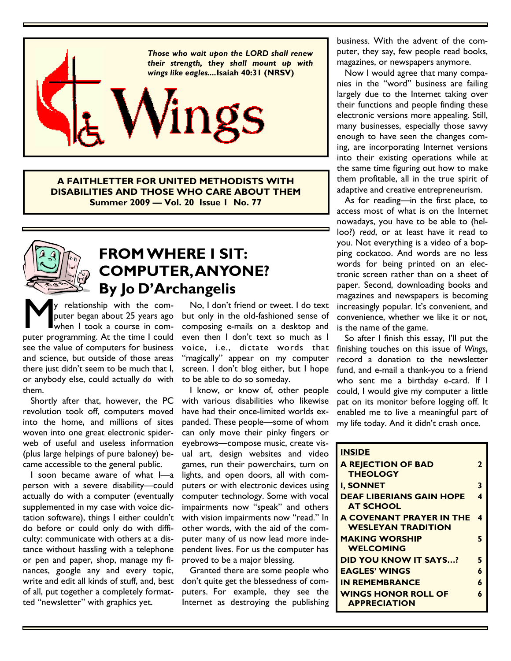

**A FAITHLETTER FOR UNITED METHODISTS WITH DISABILITIES AND THOSE WHO CARE ABOUT THEM Summer 2009 — Vol. 20 Issue 1 No. 77** 



## **FROM WHERE I SIT: COMPUTER, ANYONE? By Jo D'Archangelis**

y relationship with the com-<br>puter began about 25 years ago<br>puter programming. At the time I could y relationship with the computer began about 25 years ago when I took a course in comsee the value of computers for business and science, but outside of those areas there just didn't seem to be much that I, or anybody else, could actually *do* with them.

 Shortly after that, however, the PC revolution took off, computers moved into the home, and millions of sites woven into one great electronic spiderweb of useful and useless information (plus large helpings of pure baloney) became accessible to the general public.

 I soon became aware of what I—a person with a severe disability—could actually do with a computer (eventually supplemented in my case with voice dictation software), things I either couldn't do before or could only do with difficulty: communicate with others at a distance without hassling with a telephone or pen and paper, shop, manage my finances, google any and every topic, write and edit all kinds of stuff, and, best of all, put together a completely formatted "newsletter" with graphics yet.

 No, I don't friend or tweet. I do text but only in the old-fashioned sense of composing e-mails on a desktop and even then I don't text so much as I voice, i.e., dictate words that "magically" appear on my computer screen. I don't blog either, but I hope to be able to do so someday.

 I know, or know of, other people with various disabilities who likewise have had their once-limited worlds expanded. These people—some of whom can only move their pinky fingers or eyebrows—compose music, create visual art, design websites and video games, run their powerchairs, turn on lights, and open doors, all with computers or with electronic devices using computer technology. Some with vocal impairments now "speak" and others with vision impairments now "read." In other words, with the aid of the computer many of us now lead more independent lives. For us the computer has proved to be a major blessing.

 Granted there are some people who don't quite get the blessedness of computers. For example, they see the Internet as destroying the publishing business. With the advent of the computer, they say, few people read books, magazines, or newspapers anymore.

 Now I would agree that many companies in the "word" business are failing largely due to the Internet taking over their functions and people finding these electronic versions more appealing. Still, many businesses, especially those savvy enough to have seen the changes coming, are incorporating Internet versions into their existing operations while at the same time figuring out how to make them profitable, all in the true spirit of adaptive and creative entrepreneurism.

 As for reading—in the first place, to access most of what is on the Internet nowadays, you have to be able to (helloo?) *read*, or at least have it read to you. Not everything is a video of a bopping cockatoo. And words are no less words for being printed on an electronic screen rather than on a sheet of paper. Second, downloading books and magazines and newspapers is becoming increasingly popular. It's convenient, and convenience, whether we like it or not, is the name of the game.

 So after I finish this essay, I'll put the finishing touches on this issue of *Wings*, record a donation to the newsletter fund, and e-mail a thank-you to a friend who sent me a birthday e-card. If I could, I would give my computer a little pat on its monitor before logging off. It enabled me to live a meaningful part of my life today. And it didn't crash once.

| <b>INSIDE</b>                   |   |
|---------------------------------|---|
| <b>A REJECTION OF BAD</b>       | 2 |
| <b>THEOLOGY</b>                 |   |
| <b>I. SONNET</b>                | 3 |
| <b>DEAF LIBERIANS GAIN HOPE</b> | 4 |
| <b>AT SCHOOL</b>                |   |
| <b>A COVENANT PRAYER IN THE</b> | 4 |
| <b>WESLEYAN TRADITION</b>       |   |
| <b>MAKING WORSHIP</b>           | 5 |
| <b>WELCOMING</b>                |   |
| <b>DID YOU KNOW IT SAYS?</b>    | 5 |
| <b>EAGLES' WINGS</b>            | 6 |
| <b>IN REMEMBRANCE</b>           | 6 |
| <b>WINGS HONOR ROLL OF</b>      | 6 |
| <b>APPRECIATION</b>             |   |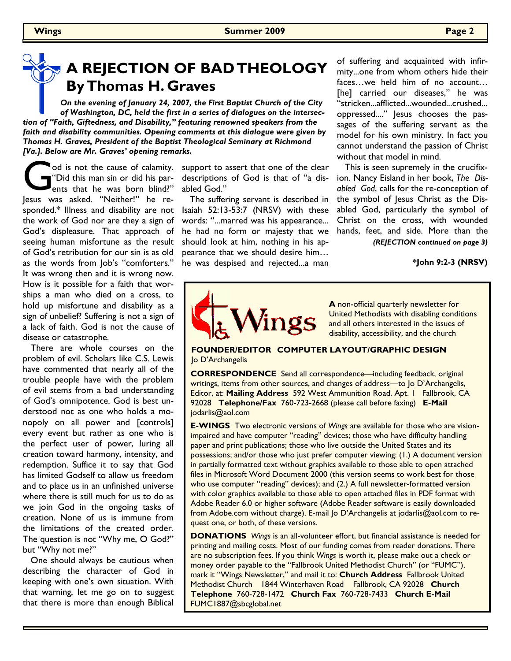# **A REJECTION OF BAD THEOLOGY By Thomas H. Graves**

*On the evening of January 24, 2007, the First Baptist Church of the City of Washington, DC, held the first in a series of dialogues on the intersection of "Faith, Giftedness, and Disability," featuring renowned speakers from the faith and disability communities. Opening comments at this dialogue were given by Thomas H. Graves, President of the Baptist Theological Seminary at Richmond [Va.]. Below are Mr. Graves' opening remarks.* 

God is not the cause of calamity.<br>
"Did this man sin or did his par-<br>
Jesus was asked. "Neither!" he reod is not the cause of calamity. "Did this man sin or did his parents that he was born blind?" sponded.\* Illness and disability are not the work of God nor are they a sign of God's displeasure. That approach of seeing human misfortune as the result of God's retribution for our sin is as old as the words from Job's "comforters." It was wrong then and it is wrong now. How is it possible for a faith that worships a man who died on a cross, to hold up misfortune and disability as a sign of unbelief? Suffering is not a sign of a lack of faith. God is not the cause of disease or catastrophe.

 There are whole courses on the problem of evil. Scholars like C.S. Lewis have commented that nearly all of the trouble people have with the problem of evil stems from a bad understanding of God's omnipotence. God is best understood not as one who holds a monopoly on all power and [controls] every event but rather as one who is the perfect user of power, luring all creation toward harmony, intensity, and redemption. Suffice it to say that God has limited Godself to allow us freedom and to place us in an unfinished universe where there is still much for us to do as we join God in the ongoing tasks of creation. None of us is immune from the limitations of the created order. The question is not "Why me, O God?" but "Why not me?"

 One should always be cautious when describing the character of God in keeping with one's own situation. With that warning, let me go on to suggest that there is more than enough Biblical

support to assert that one of the clear descriptions of God is that of "a disabled God."

 The suffering servant is described in Isaiah 52:13-53:7 (NRSV) with these words: "...marred was his appearance... he had no form or majesty that we should look at him, nothing in his appearance that we should desire him… he was despised and rejected...a man

of suffering and acquainted with infirmity...one from whom others hide their faces…we held him of no account… [he] carried our diseases," he was "stricken...afflicted...wounded...crushed... oppressed...." Jesus chooses the passages of the suffering servant as the model for his own ministry. In fact you cannot understand the passion of Christ without that model in mind.

 This is seen supremely in the crucifixion. Nancy Eisland in her book, *The Disabled God*, calls for the re-conception of the symbol of Jesus Christ as the Disabled God, particularly the symbol of Christ on the cross, with wounded hands, feet, and side. More than the

*(REJECTION continued on page 3)*

**\*John 9:2-3 (NRSV)**



**A** non-official quarterly newsletter for United Methodists with disabling conditions and all others interested in the issues of disability, accessibility, and the church

### **FOUNDER/EDITOR COMPUTER LAYOUT/GRAPHIC DESIGN**  lo D'Archangelis

**CORRESPONDENCE** Send all correspondence—including feedback, original writings, items from other sources, and changes of address—to Jo D'Archangelis, Editor, at: **Mailing Address** 592 West Ammunition Road, Apt. 1 Fallbrook, CA 92028 **Telephone/Fax** 760-723-2668 (please call before faxing) **E-Mail**  jodarlis@aol.com

**E-WINGS** Two electronic versions of *Wings* are available for those who are visionimpaired and have computer "reading" devices; those who have difficulty handling paper and print publications; those who live outside the United States and its possessions; and/or those who just prefer computer viewing: (1.) A document version in partially formatted text without graphics available to those able to open attached files in Microsoft Word Document 2000 (this version seems to work best for those who use computer "reading" devices); and (2.) A full newsletter-formatted version with color graphics available to those able to open attached files in PDF format with Adobe Reader 6.0 or higher software (Adobe Reader software is easily downloaded from Adobe.com without charge). E-mail Jo D'Archangelis at jodarlis@aol.com to request one, or both, of these versions.

**DONATIONS** *Wings* is an all-volunteer effort, but financial assistance is needed for printing and mailing costs. Most of our funding comes from reader donations. There are no subscription fees. If you think *Wings* is worth it, please make out a check or money order payable to the "Fallbrook United Methodist Church" (or "FUMC"), mark it "Wings Newsletter," and mail it to: **Church Address** Fallbrook United Methodist Church 1844 Winterhaven Road Fallbrook, CA 92028 **Church Telephone** 760-728-1472 **Church Fax** 760-728-7433 **Church E-Mail**  FUMC1887@sbcglobal.net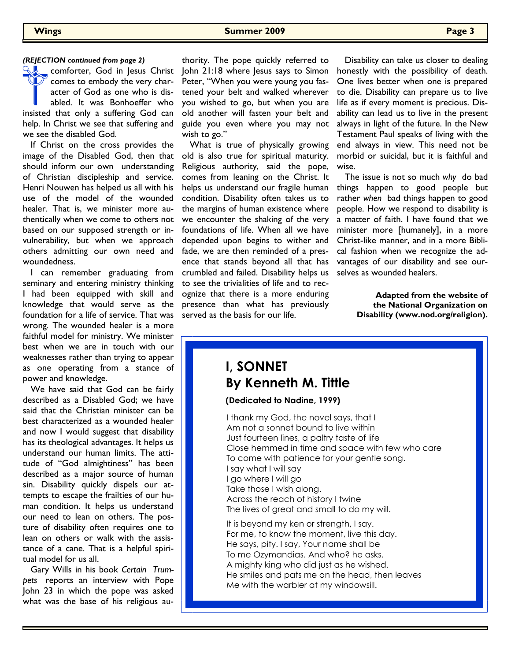**Wings Summer 2009 Page 3** 

### *(REJECTION continued from page 2)*

comforter, God in Jesus Christ comes to embody the very character of God as one who is disabled. It was Bonhoeffer who insisted that only a suffering God can help. In Christ we see that suffering and we see the disabled God.

 If Christ on the cross provides the image of the Disabled God, then that should inform our own understanding of Christian discipleship and service. Henri Nouwen has helped us all with his use of the model of the wounded healer. That is, we minister more authentically when we come to others not based on our supposed strength or invulnerability, but when we approach others admitting our own need and woundedness.

 I can remember graduating from seminary and entering ministry thinking I had been equipped with skill and knowledge that would serve as the foundation for a life of service. That was wrong. The wounded healer is a more faithful model for ministry. We minister best when we are in touch with our weaknesses rather than trying to appear as one operating from a stance of power and knowledge.

 We have said that God can be fairly described as a Disabled God; we have said that the Christian minister can be best characterized as a wounded healer and now I would suggest that disability has its theological advantages. It helps us understand our human limits. The attitude of "God almightiness" has been described as a major source of human sin. Disability quickly dispels our attempts to escape the frailties of our human condition. It helps us understand our need to lean on others. The posture of disability often requires one to lean on others or walk with the assistance of a cane. That is a helpful spiritual model for us all.

 Gary Wills in his book *Certain Trumpets* reports an interview with Pope John 23 in which the pope was asked what was the base of his religious au-

thority. The pope quickly referred to John 21:18 where Jesus says to Simon Peter, "When you were young you fastened your belt and walked wherever you wished to go, but when you are old another will fasten your belt and guide you even where you may not wish to go."

 What is true of physically growing old is also true for spiritual maturity. Religious authority, said the pope, comes from leaning on the Christ. It helps us understand our fragile human condition. Disability often takes us to the margins of human existence where we encounter the shaking of the very foundations of life. When all we have depended upon begins to wither and fade, we are then reminded of a presence that stands beyond all that has crumbled and failed. Disability helps us to see the trivialities of life and to recognize that there is a more enduring presence than what has previously served as the basis for our life.

 Disability can take us closer to dealing honestly with the possibility of death. One lives better when one is prepared to die. Disability can prepare us to live life as if every moment is precious. Disability can lead us to live in the present always in light of the future. In the New Testament Paul speaks of living with the end always in view. This need not be morbid or suicidal, but it is faithful and wise.

 The issue is not so much *why* do bad things happen to good people but rather *when* bad things happen to good people. How we respond to disability is a matter of faith. I have found that we minister more [humanely], in a more Christ-like manner, and in a more Biblical fashion when we recognize the advantages of our disability and see ourselves as wounded healers.

> **Adapted from the website of the National Organization on Disability (www.nod.org/religion).**

### **I, SONNET By Kenneth M. Tittle**

**(Dedicated to Nadine, 1999)** 

I thank my God, the novel says, that I Am not a sonnet bound to live within Just fourteen lines, a paltry taste of life Close hemmed in time and space with few who care To come with patience for your gentle song. I say what I will say I go where I will go Take those I wish along. Across the reach of history I twine The lives of great and small to do my will. It is beyond my ken or strength, I say.

For me, to know the moment, live this day. He says, pity. I say, Your name shall be To me Ozymandias. And who? he asks. A mighty king who did just as he wished. He smiles and pats me on the head, then leaves Me with the warbler at my windowsill.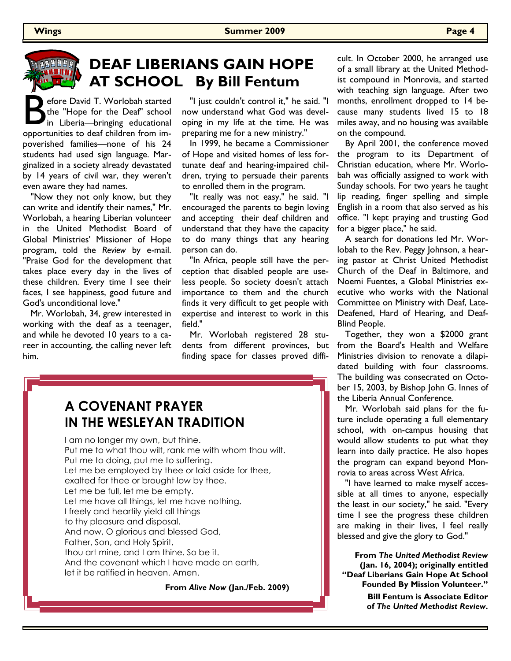# **ARCORA**

## **DEAF LIBERIANS GAIN HOPE AT SCHOOL By Bill Fentum**

efore David T. Worlobah started<br>
the "Hope for the Deaf" school<br>
in Liberia—bringing educational<br>
opportunities to deaf children from imefore David T. Worlobah started the "Hope for the Deaf" school in Liberia—bringing educational poverished families—none of his 24 students had used sign language. Marginalized in a society already devastated by 14 years of civil war, they weren't even aware they had names.

 "Now they not only know, but they can write and identify their names," Mr. Worlobah, a hearing Liberian volunteer in the United Methodist Board of Global Ministries' Missioner of Hope program, told the *Review* by e-mail. "Praise God for the development that takes place every day in the lives of these children. Every time I see their faces, I see happiness, good future and God's unconditional love."

 Mr. Worlobah, 34, grew interested in working with the deaf as a teenager, and while he devoted 10 years to a career in accounting, the calling never left him.

 "I just couldn't control it," he said. "I now understand what God was developing in my life at the time. He was preparing me for a new ministry."

 In 1999, he became a Commissioner of Hope and visited homes of less fortunate deaf and hearing-impaired children, trying to persuade their parents to enrolled them in the program.

 "It really was not easy," he said. "I encouraged the parents to begin loving and accepting their deaf children and understand that they have the capacity to do many things that any hearing person can do.

 "In Africa, people still have the perception that disabled people are useless people. So society doesn't attach importance to them and the church finds it very difficult to get people with expertise and interest to work in this field."

 Mr. Worlobah registered 28 students from different provinces, but finding space for classes proved difficult. In October 2000, he arranged use of a small library at the United Methodist compound in Monrovia, and started with teaching sign language. After two months, enrollment dropped to 14 because many students lived 15 to 18 miles away, and no housing was available on the compound.

 By April 2001, the conference moved the program to its Department of Christian education, where Mr. Worlobah was officially assigned to work with Sunday schools. For two years he taught lip reading, finger spelling and simple English in a room that also served as his office. "I kept praying and trusting God for a bigger place," he said.

 A search for donations led Mr. Worlobah to the Rev. Peggy Johnson, a hearing pastor at Christ United Methodist Church of the Deaf in Baltimore, and Noemi Fuentes, a Global Ministries executive who works with the National Committee on Ministry with Deaf, Late-Deafened, Hard of Hearing, and Deaf-Blind People.

 Together, they won a \$2000 grant from the Board's Health and Welfare Ministries division to renovate a dilapidated building with four classrooms. The building was consecrated on October 15, 2003, by Bishop John G. Innes of the Liberia Annual Conference.

 Mr. Worlobah said plans for the future include operating a full elementary school, with on-campus housing that would allow students to put what they learn into daily practice. He also hopes the program can expand beyond Monrovia to areas across West Africa.

 "I have learned to make myself accessible at all times to anyone, especially the least in our society," he said. "Every time I see the progress these children are making in their lives, I feel really blessed and give the glory to God."

**From** *The United Methodist Review* **(Jan. 16, 2004); originally entitled "Deaf Liberians Gain Hope At School Founded By Mission Volunteer."** 

> **Bill Fentum is Associate Editor of** *The United Methodist Review***.**

### **A COVENANT PRAYER IN THE WESLEYAN TRADITION**

I am no longer my own, but thine. Put me to what thou wilt, rank me with whom thou wilt. Put me to doing, put me to suffering. Let me be employed by thee or laid aside for thee, exalted for thee or brought low by thee. Let me be full, let me be empty. Let me have all things, let me have nothing. I freely and heartily yield all things to thy pleasure and disposal. And now, O glorious and blessed God, Father, Son, and Holy Spirit, thou art mine, and I am thine. So be it. And the covenant which I have made on earth, let it be ratified in heaven. Amen.

**From** *Alive Now* **(Jan./Feb. 2009)**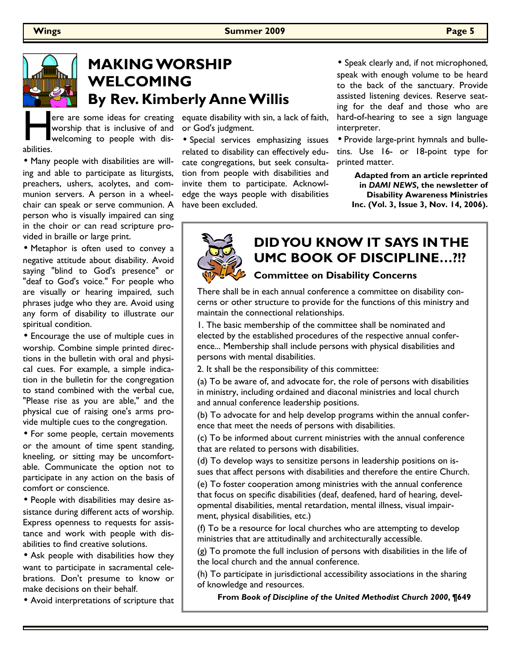

# **MAKING WORSHIP WELCOMING By Rev. Kimberly Anne Willis**

e<br>abilities. worship that is inclusive of and welcoming to people with dis-

• Many people with disabilities are willing and able to participate as liturgists, preachers, ushers, acolytes, and communion servers. A person in a wheelchair can speak or serve communion. A person who is visually impaired can sing in the choir or can read scripture provided in braille or large print.

• Metaphor is often used to convey a negative attitude about disability. Avoid saying "blind to God's presence" or "deaf to God's voice." For people who are visually or hearing impaired, such phrases judge who they are. Avoid using any form of disability to illustrate our spiritual condition.

• Encourage the use of multiple cues in worship. Combine simple printed directions in the bulletin with oral and physical cues. For example, a simple indication in the bulletin for the congregation to stand combined with the verbal cue, "Please rise as you are able," and the physical cue of raising one's arms provide multiple cues to the congregation.

• For some people, certain movements or the amount of time spent standing, kneeling, or sitting may be uncomfortable. Communicate the option not to participate in any action on the basis of comfort or conscience.

• People with disabilities may desire assistance during different acts of worship. Express openness to requests for assistance and work with people with disabilities to find creative solutions.

• Ask people with disabilities how they want to participate in sacramental celebrations. Don't presume to know or make decisions on their behalf.

• Avoid interpretations of scripture that

ere are some ideas for creating equate disability with sin, a lack of faith, or God's judgment.

> • Special services emphasizing issues related to disability can effectively educate congregations, but seek consultation from people with disabilities and invite them to participate. Acknowledge the ways people with disabilities have been excluded.

• Speak clearly and, if not microphoned, speak with enough volume to be heard to the back of the sanctuary. Provide assisted listening devices. Reserve seating for the deaf and those who are hard-of-hearing to see a sign language interpreter.

• Provide large-print hymnals and bulletins. Use 16- or 18-point type for printed matter.

**Adapted from an article reprinted in** *DAMI NEWS***, the newsletter of Disability Awareness Ministries Inc. (Vol. 3, Issue 3, Nov. 14, 2006).**



### **DID YOU KNOW IT SAYS IN THE UMC BOOK OF DISCIPLINE…?!?**

### **Committee on Disability Concerns**

There shall be in each annual conference a committee on disability concerns or other structure to provide for the functions of this ministry and maintain the connectional relationships.

1. The basic membership of the committee shall be nominated and elected by the established procedures of the respective annual conference... Membership shall include persons with physical disabilities and persons with mental disabilities.

2. It shall be the responsibility of this committee:

(a) To be aware of, and advocate for, the role of persons with disabilities in ministry, including ordained and diaconal ministries and local church and annual conference leadership positions.

(b) To advocate for and help develop programs within the annual conference that meet the needs of persons with disabilities.

(c) To be informed about current ministries with the annual conference that are related to persons with disabilities.

(d) To develop ways to sensitize persons in leadership positions on issues that affect persons with disabilities and therefore the entire Church.

(e) To foster cooperation among ministries with the annual conference that focus on specific disabilities (deaf, deafened, hard of hearing, developmental disabilities, mental retardation, mental illness, visual impairment, physical disabilities, etc.)

(f) To be a resource for local churches who are attempting to develop ministries that are attitudinally and architecturally accessible.

(g) To promote the full inclusion of persons with disabilities in the life of the local church and the annual conference.

(h) To participate in jurisdictional accessibility associations in the sharing of knowledge and resources.

**From** *Book of Discipline of the United Methodist Church 2000***, ¶649**